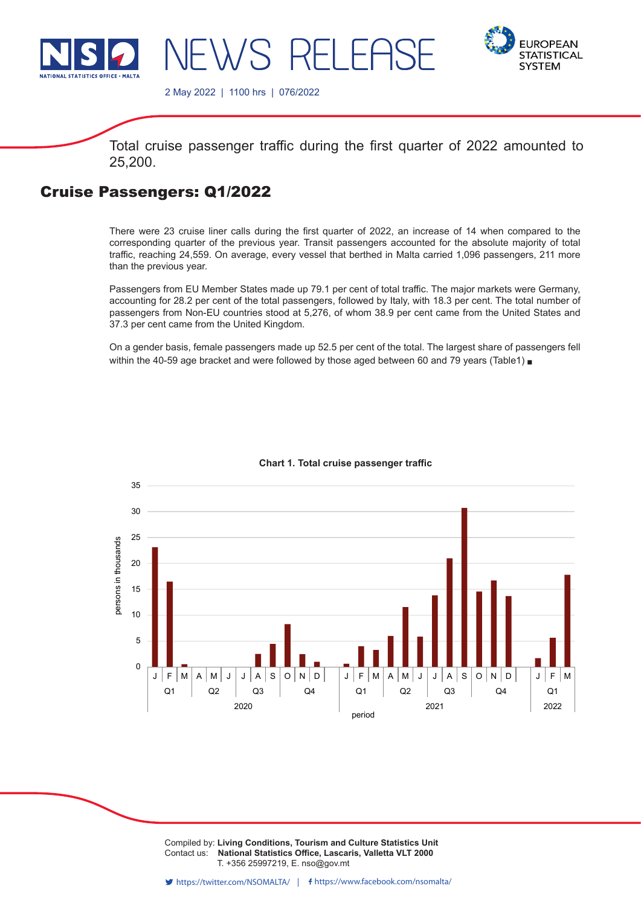

**EUROPEAN STATISTICAL SYSTEM** 

2 May 2022 | 1100 hrs | 076/2022

Total cruise passenger traffic during the first quarter of 2022 amounted to 25,200.

## Cruise Passengers: Q1/2022

There were 23 cruise liner calls during the first quarter of 2022, an increase of 14 when compared to the corresponding quarter of the previous year. Transit passengers accounted for the absolute majority of total traffic, reaching 24,559. On average, every vessel that berthed in Malta carried 1,096 passengers, 211 more than the previous year.

Passengers from EU Member States made up 79.1 per cent of total traffic. The major markets were Germany, accounting for 28.2 per cent of the total passengers, followed by Italy, with 18.3 per cent. The total number of passengers from Non-EU countries stood at 5,276, of whom 38.9 per cent came from the United States and 37.3 per cent came from the United Kingdom.

On a gender basis, female passengers made up 52.5 per cent of the total. The largest share of passengers fell within the 40-59 age bracket and were followed by those aged between 60 and 79 years (Table1)  $\blacksquare$ 



## **Chart 1. Total cruise passenger traffic**

Compiled by: **Living Conditions, Tourism and Culture Statistics Unit**<br>Contact use. **National Statistics Office, Locargia, Vallatto VLT 2000** Contact us: National Statistics Office, Lascaris, Valletta VLT 2000 Issued by: **Dissemination Unit, National Statistics Office, Lascaris, Valletta VLT 2000, Malta.** T. +356 25997219, E. nso@gov.mt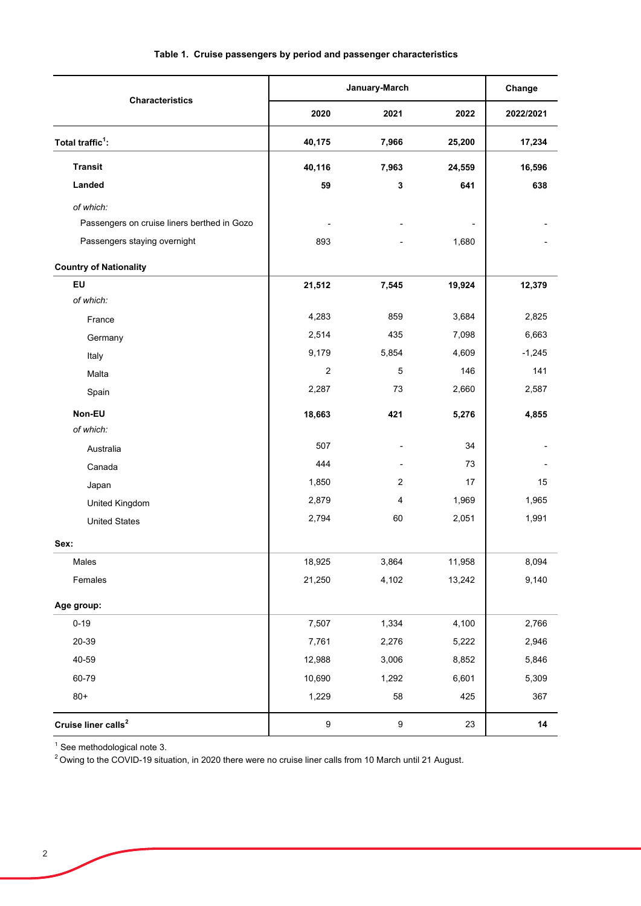|                                             |                  | January-March    |                          | Change    |
|---------------------------------------------|------------------|------------------|--------------------------|-----------|
| <b>Characteristics</b>                      | 2020             | 2021             | 2022                     | 2022/2021 |
| Total traffic <sup>1</sup> :                | 40,175           | 7,966            | 25,200                   | 17,234    |
| <b>Transit</b>                              | 40,116           | 7,963            | 24,559                   | 16,596    |
| Landed                                      | 59               | 3                | 641                      | 638       |
| of which:                                   |                  |                  |                          |           |
| Passengers on cruise liners berthed in Gozo |                  |                  | $\overline{\phantom{a}}$ |           |
| Passengers staying overnight                | 893              |                  | 1,680                    |           |
| <b>Country of Nationality</b>               |                  |                  |                          |           |
| EU                                          | 21,512           | 7,545            | 19,924                   | 12,379    |
| of which:                                   |                  |                  |                          |           |
| France                                      | 4,283            | 859              | 3,684                    | 2,825     |
| Germany                                     | 2,514            | 435              | 7,098                    | 6,663     |
| Italy                                       | 9,179            | 5,854            | 4,609                    | $-1,245$  |
| Malta                                       | $\overline{2}$   | 5                | 146                      | 141       |
| Spain                                       | 2,287            | 73               | 2,660                    | 2,587     |
| Non-EU<br>of which:                         | 18,663           | 421              | 5,276                    | 4,855     |
| Australia                                   | 507              |                  | 34                       |           |
| Canada                                      | 444              |                  | 73                       |           |
| Japan                                       | 1,850            | $\overline{2}$   | 17                       | 15        |
| United Kingdom                              | 2,879            | 4                | 1,969                    | 1,965     |
| <b>United States</b>                        | 2,794            | 60               | 2,051                    | 1,991     |
| Sex:                                        |                  |                  |                          |           |
| Males                                       | 18,925           | 3,864            | 11,958                   | 8,094     |
| Females                                     | 21,250           | 4,102            | 13,242                   | 9,140     |
| Age group:                                  |                  |                  |                          |           |
| $0 - 19$                                    | 7,507            | 1,334            | 4,100                    | 2,766     |
| 20-39                                       | 7,761            | 2,276            | 5,222                    | 2,946     |
| 40-59                                       | 12,988           | 3,006            | 8,852                    | 5,846     |
| 60-79                                       | 10,690           | 1,292            | 6,601                    | 5,309     |
| $80+$                                       | 1,229            | 58               | 425                      | 367       |
| Cruise liner calls <sup>2</sup>             | $\boldsymbol{9}$ | $\boldsymbol{9}$ | 23                       | 14        |

## **Table 1. Cruise passengers by period and passenger characteristics**

<sup>1</sup> See methodological note 3.

 $^2$ Owing to the COVID-19 situation, in 2020 there were no cruise liner calls from 10 March until 21 August.